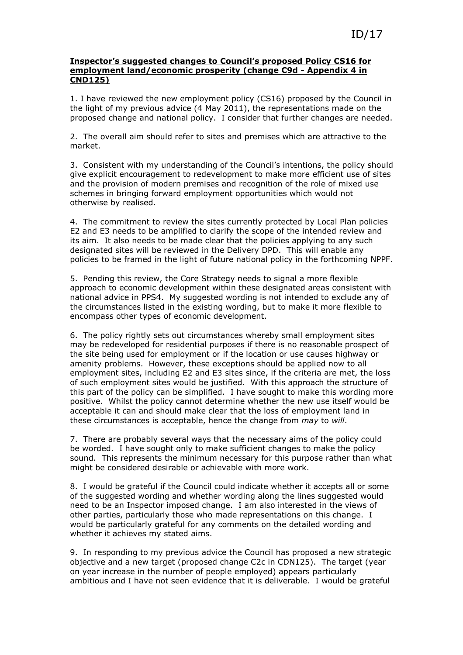## Inspector's suggested changes to Council's proposed Policy CS16 for employment land/economic prosperity (change C9d - Appendix 4 in CND125)

1. I have reviewed the new employment policy (CS16) proposed by the Council in the light of my previous advice (4 May 2011), the representations made on the proposed change and national policy. I consider that further changes are needed.

2. The overall aim should refer to sites and premises which are attractive to the market.

3. Consistent with my understanding of the Council's intentions, the policy should give explicit encouragement to redevelopment to make more efficient use of sites and the provision of modern premises and recognition of the role of mixed use schemes in bringing forward employment opportunities which would not otherwise by realised.

4. The commitment to review the sites currently protected by Local Plan policies E2 and E3 needs to be amplified to clarify the scope of the intended review and its aim. It also needs to be made clear that the policies applying to any such designated sites will be reviewed in the Delivery DPD. This will enable any policies to be framed in the light of future national policy in the forthcoming NPPF.

5. Pending this review, the Core Strategy needs to signal a more flexible approach to economic development within these designated areas consistent with national advice in PPS4. My suggested wording is not intended to exclude any of the circumstances listed in the existing wording, but to make it more flexible to encompass other types of economic development.

6. The policy rightly sets out circumstances whereby small employment sites may be redeveloped for residential purposes if there is no reasonable prospect of the site being used for employment or if the location or use causes highway or amenity problems. However, these exceptions should be applied now to all employment sites, including E2 and E3 sites since, if the criteria are met, the loss of such employment sites would be justified. With this approach the structure of this part of the policy can be simplified. I have sought to make this wording more positive. Whilst the policy cannot determine whether the new use itself would be acceptable it can and should make clear that the loss of employment land in these circumstances is acceptable, hence the change from may to will.

7. There are probably several ways that the necessary aims of the policy could be worded. I have sought only to make sufficient changes to make the policy sound. This represents the minimum necessary for this purpose rather than what might be considered desirable or achievable with more work.

8. I would be grateful if the Council could indicate whether it accepts all or some of the suggested wording and whether wording along the lines suggested would need to be an Inspector imposed change. I am also interested in the views of other parties, particularly those who made representations on this change. I would be particularly grateful for any comments on the detailed wording and whether it achieves my stated aims.

9. In responding to my previous advice the Council has proposed a new strategic objective and a new target (proposed change C2c in CDN125). The target (year on year increase in the number of people employed) appears particularly ambitious and I have not seen evidence that it is deliverable. I would be grateful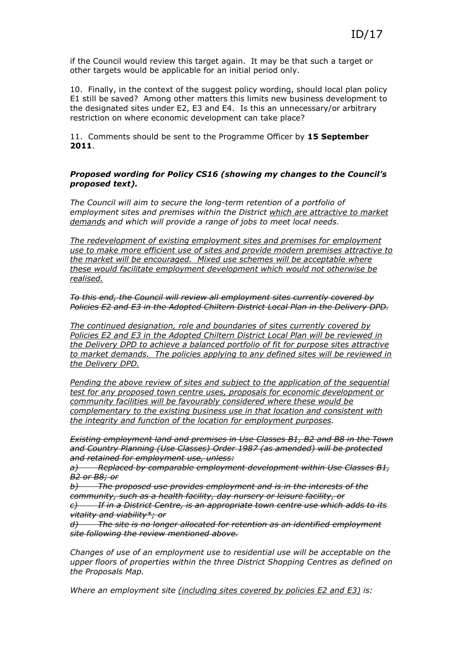if the Council would review this target again. It may be that such a target or other targets would be applicable for an initial period only.

10. Finally, in the context of the suggest policy wording, should local plan policy E1 still be saved? Among other matters this limits new business development to the designated sites under E2, E3 and E4. Is this an unnecessary/or arbitrary restriction on where economic development can take place?

11. Comments should be sent to the Programme Officer by 15 September 2011.

## Proposed wording for Policy CS16 (showing my changes to the Council's proposed text).

The Council will aim to secure the long-term retention of a portfolio of employment sites and premises within the District which are attractive to market demands and which will provide a range of jobs to meet local needs.

The redevelopment of existing employment sites and premises for employment use to make more efficient use of sites and provide modern premises attractive to the market will be encouraged. Mixed use schemes will be acceptable where these would facilitate employment development which would not otherwise be realised.

To this end, the Council will review all employment sites currently covered by Policies E2 and E3 in the Adopted Chiltern District Local Plan in the Delivery DPD.

The continued designation, role and boundaries of sites currently covered by Policies E2 and E3 in the Adopted Chiltern District Local Plan will be reviewed in the Delivery DPD to achieve a balanced portfolio of fit for purpose sites attractive to market demands. The policies applying to any defined sites will be reviewed in the Delivery DPD.

Pending the above review of sites and subject to the application of the sequential test for any proposed town centre uses, proposals for economic development or community facilities will be favourably considered where these would be complementary to the existing business use in that location and consistent with the integrity and function of the location for employment purposes.

Existing employment land and premises in Use Classes B1, B2 and B8 in the Town and Country Planning (Use Classes) Order 1987 (as amended) will be protected and retained for employment use, unless:

a) Replaced by comparable employment development within Use Classes B1, B2 or B8; or

b) The proposed use provides employment and is in the interests of the community, such as a health facility, day nursery or leisure facility, or  $\epsilon$ ) If in a District Centre, is an appropriate town centre use which adds to its vitality and viability\*; or

d) The site is no longer allocated for retention as an identified employment site following the review mentioned above.

Changes of use of an employment use to residential use will be acceptable on the upper floors of properties within the three District Shopping Centres as defined on the Proposals Map.

Where an employment site (including sites covered by policies E2 and E3) is: